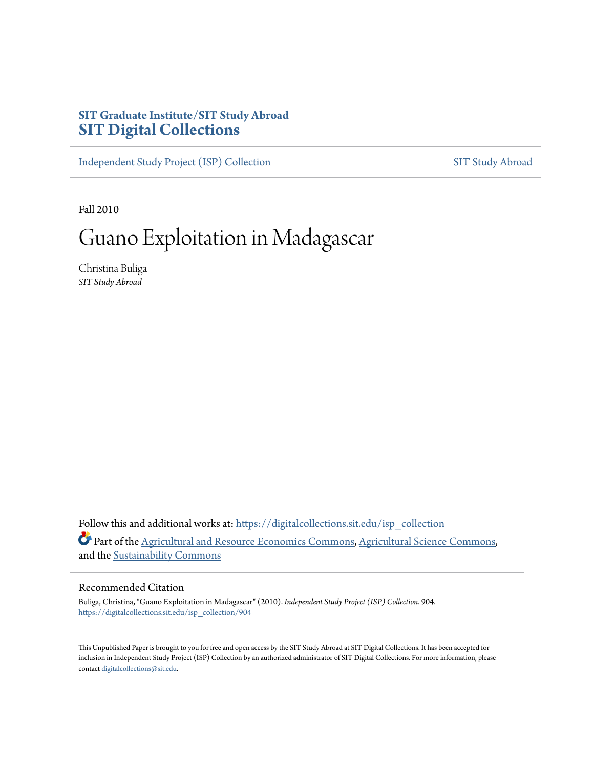### **SIT Graduate Institute/SIT Study Abroad [SIT Digital Collections](https://digitalcollections.sit.edu?utm_source=digitalcollections.sit.edu%2Fisp_collection%2F904&utm_medium=PDF&utm_campaign=PDFCoverPages)**

[Independent Study Project \(ISP\) Collection](https://digitalcollections.sit.edu/isp_collection?utm_source=digitalcollections.sit.edu%2Fisp_collection%2F904&utm_medium=PDF&utm_campaign=PDFCoverPages) [SIT Study Abroad](https://digitalcollections.sit.edu/study_abroad?utm_source=digitalcollections.sit.edu%2Fisp_collection%2F904&utm_medium=PDF&utm_campaign=PDFCoverPages)

Fall 2010

# Guano Exploitation in Madagascar

Christina Buliga *SIT Study Abroad*

Follow this and additional works at: [https://digitalcollections.sit.edu/isp\\_collection](https://digitalcollections.sit.edu/isp_collection?utm_source=digitalcollections.sit.edu%2Fisp_collection%2F904&utm_medium=PDF&utm_campaign=PDFCoverPages) Part of the [Agricultural and Resource Economics Commons](http://network.bepress.com/hgg/discipline/317?utm_source=digitalcollections.sit.edu%2Fisp_collection%2F904&utm_medium=PDF&utm_campaign=PDFCoverPages), [Agricultural Science Commons,](http://network.bepress.com/hgg/discipline/1063?utm_source=digitalcollections.sit.edu%2Fisp_collection%2F904&utm_medium=PDF&utm_campaign=PDFCoverPages) and the [Sustainability Commons](http://network.bepress.com/hgg/discipline/1031?utm_source=digitalcollections.sit.edu%2Fisp_collection%2F904&utm_medium=PDF&utm_campaign=PDFCoverPages)

#### Recommended Citation

Buliga, Christina, "Guano Exploitation in Madagascar" (2010). *Independent Study Project (ISP) Collection*. 904. [https://digitalcollections.sit.edu/isp\\_collection/904](https://digitalcollections.sit.edu/isp_collection/904?utm_source=digitalcollections.sit.edu%2Fisp_collection%2F904&utm_medium=PDF&utm_campaign=PDFCoverPages)

This Unpublished Paper is brought to you for free and open access by the SIT Study Abroad at SIT Digital Collections. It has been accepted for inclusion in Independent Study Project (ISP) Collection by an authorized administrator of SIT Digital Collections. For more information, please contact [digitalcollections@sit.edu](mailto:digitalcollections@sit.edu).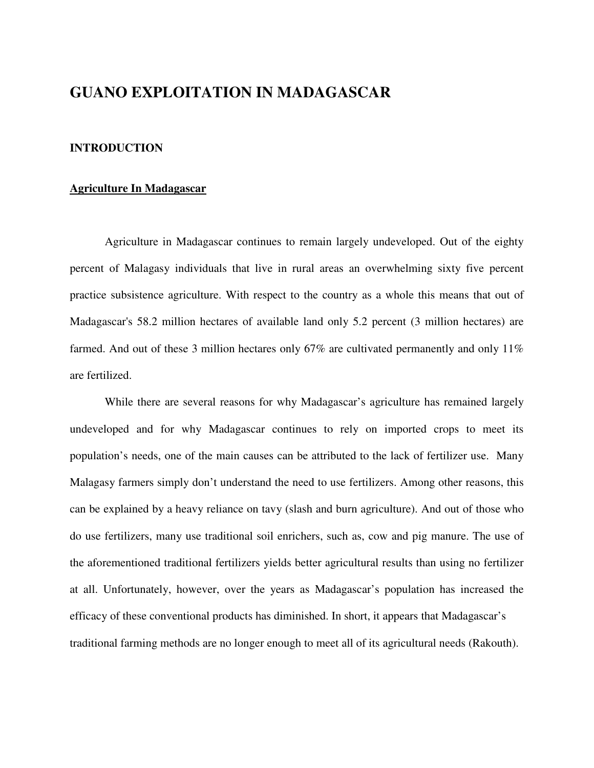### **GUANO EXPLOITATION IN MADAGASCAR**

#### **INTRODUCTION**

#### **Agriculture In Madagascar**

Agriculture in Madagascar continues to remain largely undeveloped. Out of the eighty percent of Malagasy individuals that live in rural areas an overwhelming sixty five percent practice subsistence agriculture. With respect to the country as a whole this means that out of Madagascar's 58.2 million hectares of available land only 5.2 percent (3 million hectares) are farmed. And out of these 3 million hectares only 67% are cultivated permanently and only 11% are fertilized.

While there are several reasons for why Madagascar's agriculture has remained largely undeveloped and for why Madagascar continues to rely on imported crops to meet its population's needs, one of the main causes can be attributed to the lack of fertilizer use. Many Malagasy farmers simply don't understand the need to use fertilizers. Among other reasons, this can be explained by a heavy reliance on tavy (slash and burn agriculture). And out of those who do use fertilizers, many use traditional soil enrichers, such as, cow and pig manure. The use of the aforementioned traditional fertilizers yields better agricultural results than using no fertilizer at all. Unfortunately, however, over the years as Madagascar's population has increased the efficacy of these conventional products has diminished. In short, it appears that Madagascar's traditional farming methods are no longer enough to meet all of its agricultural needs (Rakouth).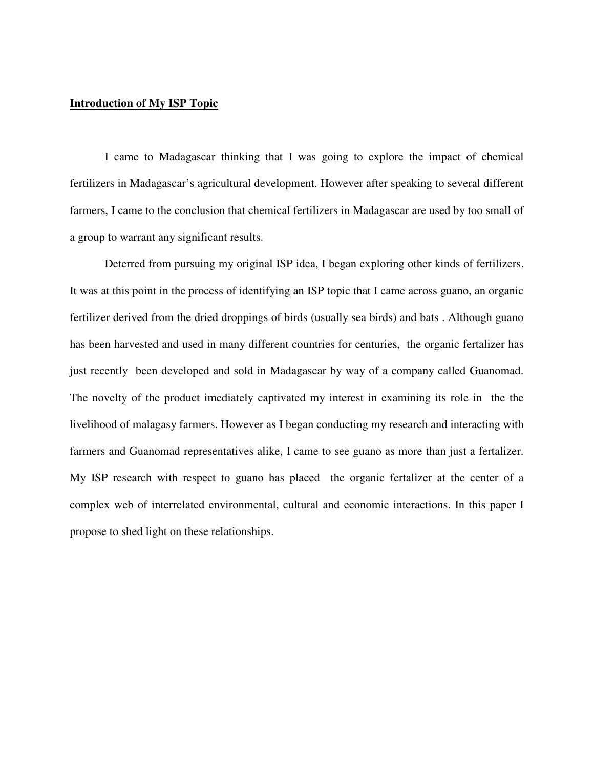#### **Introduction of My ISP Topic**

I came to Madagascar thinking that I was going to explore the impact of chemical fertilizers in Madagascar's agricultural development. However after speaking to several different farmers, I came to the conclusion that chemical fertilizers in Madagascar are used by too small of a group to warrant any significant results.

Deterred from pursuing my original ISP idea, I began exploring other kinds of fertilizers. It was at this point in the process of identifying an ISP topic that I came across guano, an organic fertilizer derived from the dried droppings of birds (usually sea birds) and bats . Although guano has been harvested and used in many different countries for centuries, the organic fertalizer has just recently been developed and sold in Madagascar by way of a company called Guanomad. The novelty of the product imediately captivated my interest in examining its role in the the livelihood of malagasy farmers. However as I began conducting my research and interacting with farmers and Guanomad representatives alike, I came to see guano as more than just a fertalizer. My ISP research with respect to guano has placed the organic fertalizer at the center of a complex web of interrelated environmental, cultural and economic interactions. In this paper I propose to shed light on these relationships.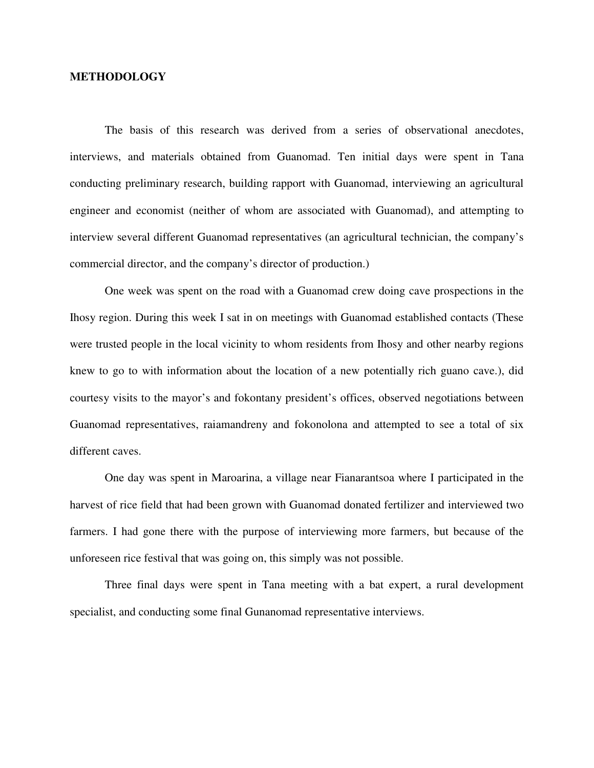#### **METHODOLOGY**

The basis of this research was derived from a series of observational anecdotes, interviews, and materials obtained from Guanomad. Ten initial days were spent in Tana conducting preliminary research, building rapport with Guanomad, interviewing an agricultural engineer and economist (neither of whom are associated with Guanomad), and attempting to interview several different Guanomad representatives (an agricultural technician, the company's commercial director, and the company's director of production.)

One week was spent on the road with a Guanomad crew doing cave prospections in the Ihosy region. During this week I sat in on meetings with Guanomad established contacts (These were trusted people in the local vicinity to whom residents from Ihosy and other nearby regions knew to go to with information about the location of a new potentially rich guano cave.), did courtesy visits to the mayor's and fokontany president's offices, observed negotiations between Guanomad representatives, raiamandreny and fokonolona and attempted to see a total of six different caves.

One day was spent in Maroarina, a village near Fianarantsoa where I participated in the harvest of rice field that had been grown with Guanomad donated fertilizer and interviewed two farmers. I had gone there with the purpose of interviewing more farmers, but because of the unforeseen rice festival that was going on, this simply was not possible.

Three final days were spent in Tana meeting with a bat expert, a rural development specialist, and conducting some final Gunanomad representative interviews.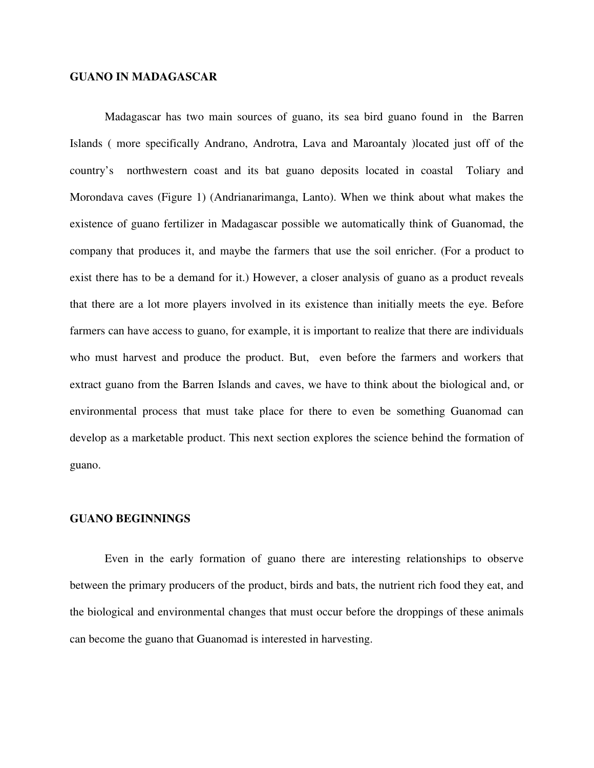#### **GUANO IN MADAGASCAR**

Madagascar has two main sources of guano, its sea bird guano found in the Barren Islands ( more specifically Andrano, Androtra, Lava and Maroantaly )located just off of the country's northwestern coast and its bat guano deposits located in coastal Toliary and Morondava caves (Figure 1) (Andrianarimanga, Lanto). When we think about what makes the existence of guano fertilizer in Madagascar possible we automatically think of Guanomad, the company that produces it, and maybe the farmers that use the soil enricher. (For a product to exist there has to be a demand for it.) However, a closer analysis of guano as a product reveals that there are a lot more players involved in its existence than initially meets the eye. Before farmers can have access to guano, for example, it is important to realize that there are individuals who must harvest and produce the product. But, even before the farmers and workers that extract guano from the Barren Islands and caves, we have to think about the biological and, or environmental process that must take place for there to even be something Guanomad can develop as a marketable product. This next section explores the science behind the formation of guano.

#### **GUANO BEGINNINGS**

Even in the early formation of guano there are interesting relationships to observe between the primary producers of the product, birds and bats, the nutrient rich food they eat, and the biological and environmental changes that must occur before the droppings of these animals can become the guano that Guanomad is interested in harvesting.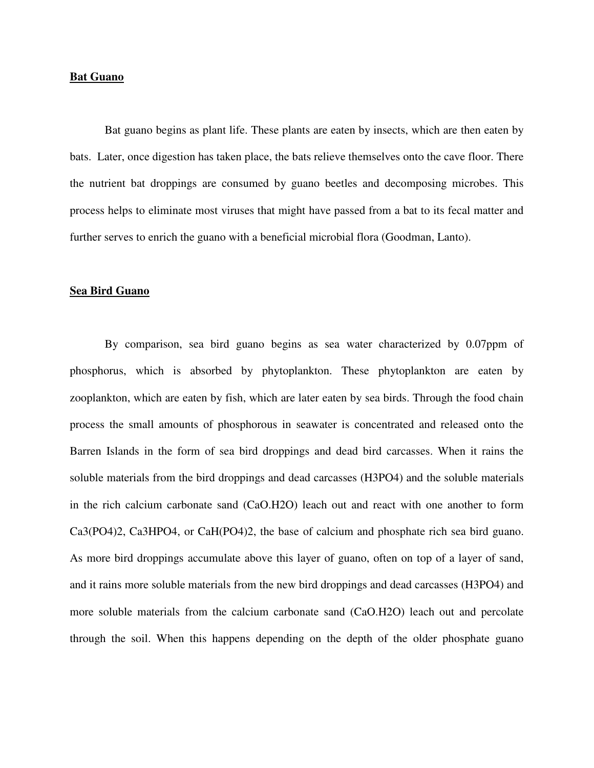#### **Bat Guano**

Bat guano begins as plant life. These plants are eaten by insects, which are then eaten by bats. Later, once digestion has taken place, the bats relieve themselves onto the cave floor. There the nutrient bat droppings are consumed by guano beetles and decomposing microbes. This process helps to eliminate most viruses that might have passed from a bat to its fecal matter and further serves to enrich the guano with a beneficial microbial flora (Goodman, Lanto).

#### **Sea Bird Guano**

By comparison, sea bird guano begins as sea water characterized by 0.07ppm of phosphorus, which is absorbed by phytoplankton. These phytoplankton are eaten by zooplankton, which are eaten by fish, which are later eaten by sea birds. Through the food chain process the small amounts of phosphorous in seawater is concentrated and released onto the Barren Islands in the form of sea bird droppings and dead bird carcasses. When it rains the soluble materials from the bird droppings and dead carcasses (H3PO4) and the soluble materials in the rich calcium carbonate sand (CaO.H2O) leach out and react with one another to form Ca3(PO4)2, Ca3HPO4, or CaH(PO4)2, the base of calcium and phosphate rich sea bird guano. As more bird droppings accumulate above this layer of guano, often on top of a layer of sand, and it rains more soluble materials from the new bird droppings and dead carcasses (H3PO4) and more soluble materials from the calcium carbonate sand (CaO.H2O) leach out and percolate through the soil. When this happens depending on the depth of the older phosphate guano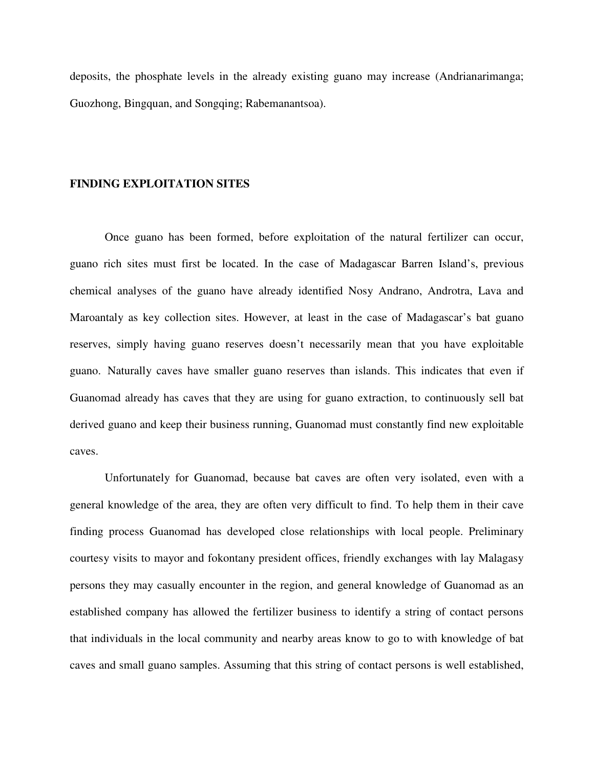deposits, the phosphate levels in the already existing guano may increase (Andrianarimanga; Guozhong, Bingquan, and Songqing; Rabemanantsoa).

#### **FINDING EXPLOITATION SITES**

 Once guano has been formed, before exploitation of the natural fertilizer can occur, guano rich sites must first be located. In the case of Madagascar Barren Island's, previous chemical analyses of the guano have already identified Nosy Andrano, Androtra, Lava and Maroantaly as key collection sites. However, at least in the case of Madagascar's bat guano reserves, simply having guano reserves doesn't necessarily mean that you have exploitable guano. Naturally caves have smaller guano reserves than islands. This indicates that even if Guanomad already has caves that they are using for guano extraction, to continuously sell bat derived guano and keep their business running, Guanomad must constantly find new exploitable caves.

Unfortunately for Guanomad, because bat caves are often very isolated, even with a general knowledge of the area, they are often very difficult to find. To help them in their cave finding process Guanomad has developed close relationships with local people. Preliminary courtesy visits to mayor and fokontany president offices, friendly exchanges with lay Malagasy persons they may casually encounter in the region, and general knowledge of Guanomad as an established company has allowed the fertilizer business to identify a string of contact persons that individuals in the local community and nearby areas know to go to with knowledge of bat caves and small guano samples. Assuming that this string of contact persons is well established,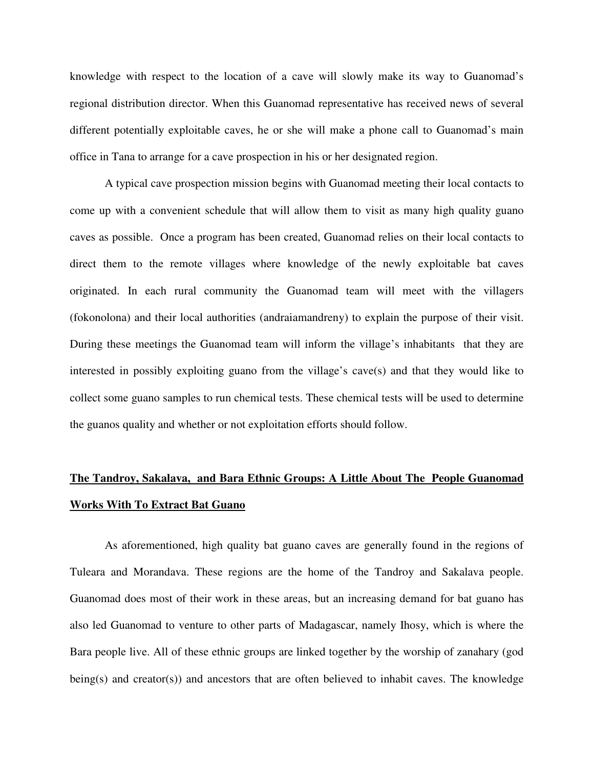knowledge with respect to the location of a cave will slowly make its way to Guanomad's regional distribution director. When this Guanomad representative has received news of several different potentially exploitable caves, he or she will make a phone call to Guanomad's main office in Tana to arrange for a cave prospection in his or her designated region.

A typical cave prospection mission begins with Guanomad meeting their local contacts to come up with a convenient schedule that will allow them to visit as many high quality guano caves as possible. Once a program has been created, Guanomad relies on their local contacts to direct them to the remote villages where knowledge of the newly exploitable bat caves originated. In each rural community the Guanomad team will meet with the villagers (fokonolona) and their local authorities (andraiamandreny) to explain the purpose of their visit. During these meetings the Guanomad team will inform the village's inhabitants that they are interested in possibly exploiting guano from the village's cave(s) and that they would like to collect some guano samples to run chemical tests. These chemical tests will be used to determine the guanos quality and whether or not exploitation efforts should follow.

## **The Tandroy, Sakalava, and Bara Ethnic Groups: A Little About The People Guanomad Works With To Extract Bat Guano**

As aforementioned, high quality bat guano caves are generally found in the regions of Tuleara and Morandava. These regions are the home of the Tandroy and Sakalava people. Guanomad does most of their work in these areas, but an increasing demand for bat guano has also led Guanomad to venture to other parts of Madagascar, namely Ihosy, which is where the Bara people live. All of these ethnic groups are linked together by the worship of zanahary (god being(s) and creator(s)) and ancestors that are often believed to inhabit caves. The knowledge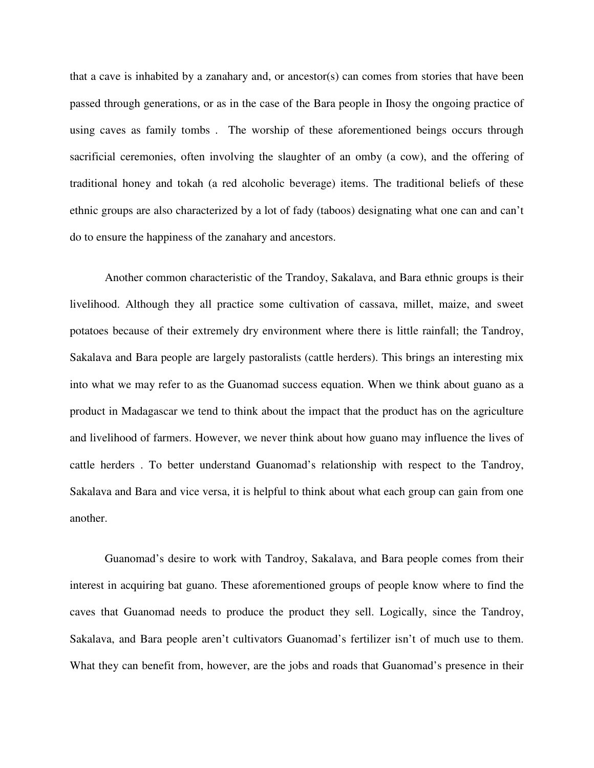that a cave is inhabited by a zanahary and, or ancestor(s) can comes from stories that have been passed through generations, or as in the case of the Bara people in Ihosy the ongoing practice of using caves as family tombs . The worship of these aforementioned beings occurs through sacrificial ceremonies, often involving the slaughter of an omby (a cow), and the offering of traditional honey and tokah (a red alcoholic beverage) items. The traditional beliefs of these ethnic groups are also characterized by a lot of fady (taboos) designating what one can and can't do to ensure the happiness of the zanahary and ancestors.

Another common characteristic of the Trandoy, Sakalava, and Bara ethnic groups is their livelihood. Although they all practice some cultivation of cassava, millet, maize, and sweet potatoes because of their extremely dry environment where there is little rainfall; the Tandroy, Sakalava and Bara people are largely pastoralists (cattle herders). This brings an interesting mix into what we may refer to as the Guanomad success equation. When we think about guano as a product in Madagascar we tend to think about the impact that the product has on the agriculture and livelihood of farmers. However, we never think about how guano may influence the lives of cattle herders . To better understand Guanomad's relationship with respect to the Tandroy, Sakalava and Bara and vice versa, it is helpful to think about what each group can gain from one another.

Guanomad's desire to work with Tandroy, Sakalava, and Bara people comes from their interest in acquiring bat guano. These aforementioned groups of people know where to find the caves that Guanomad needs to produce the product they sell. Logically, since the Tandroy, Sakalava, and Bara people aren't cultivators Guanomad's fertilizer isn't of much use to them. What they can benefit from, however, are the jobs and roads that Guanomad's presence in their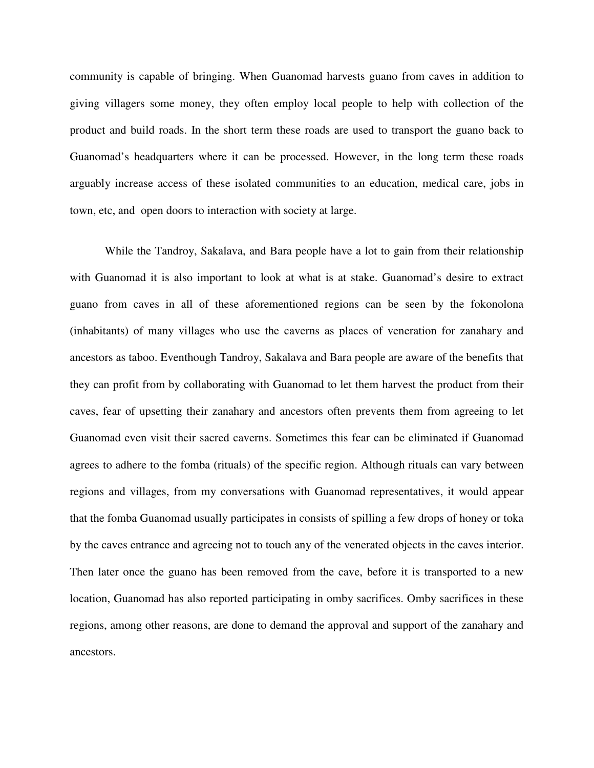community is capable of bringing. When Guanomad harvests guano from caves in addition to giving villagers some money, they often employ local people to help with collection of the product and build roads. In the short term these roads are used to transport the guano back to Guanomad's headquarters where it can be processed. However, in the long term these roads arguably increase access of these isolated communities to an education, medical care, jobs in town, etc, and open doors to interaction with society at large.

While the Tandroy, Sakalava, and Bara people have a lot to gain from their relationship with Guanomad it is also important to look at what is at stake. Guanomad's desire to extract guano from caves in all of these aforementioned regions can be seen by the fokonolona (inhabitants) of many villages who use the caverns as places of veneration for zanahary and ancestors as taboo. Eventhough Tandroy, Sakalava and Bara people are aware of the benefits that they can profit from by collaborating with Guanomad to let them harvest the product from their caves, fear of upsetting their zanahary and ancestors often prevents them from agreeing to let Guanomad even visit their sacred caverns. Sometimes this fear can be eliminated if Guanomad agrees to adhere to the fomba (rituals) of the specific region. Although rituals can vary between regions and villages, from my conversations with Guanomad representatives, it would appear that the fomba Guanomad usually participates in consists of spilling a few drops of honey or toka by the caves entrance and agreeing not to touch any of the venerated objects in the caves interior. Then later once the guano has been removed from the cave, before it is transported to a new location, Guanomad has also reported participating in omby sacrifices. Omby sacrifices in these regions, among other reasons, are done to demand the approval and support of the zanahary and ancestors.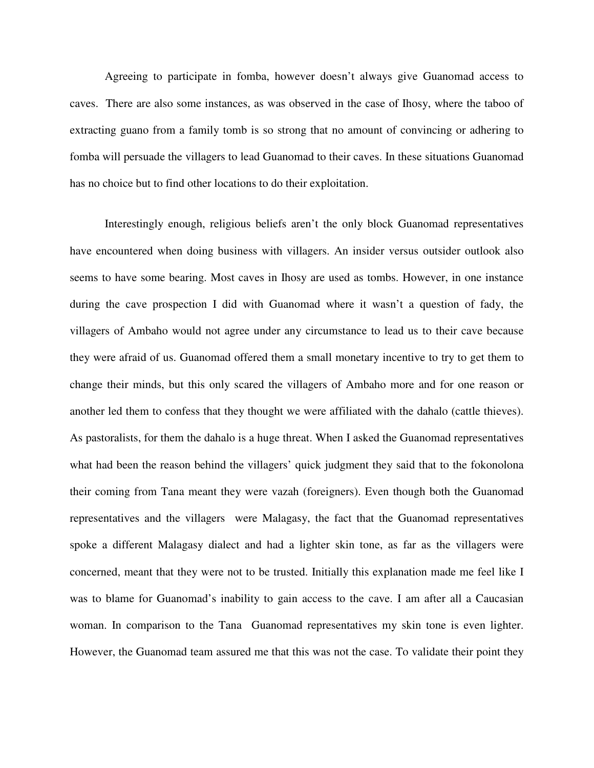Agreeing to participate in fomba, however doesn't always give Guanomad access to caves. There are also some instances, as was observed in the case of Ihosy, where the taboo of extracting guano from a family tomb is so strong that no amount of convincing or adhering to fomba will persuade the villagers to lead Guanomad to their caves. In these situations Guanomad has no choice but to find other locations to do their exploitation.

Interestingly enough, religious beliefs aren't the only block Guanomad representatives have encountered when doing business with villagers. An insider versus outsider outlook also seems to have some bearing. Most caves in Ihosy are used as tombs. However, in one instance during the cave prospection I did with Guanomad where it wasn't a question of fady, the villagers of Ambaho would not agree under any circumstance to lead us to their cave because they were afraid of us. Guanomad offered them a small monetary incentive to try to get them to change their minds, but this only scared the villagers of Ambaho more and for one reason or another led them to confess that they thought we were affiliated with the dahalo (cattle thieves). As pastoralists, for them the dahalo is a huge threat. When I asked the Guanomad representatives what had been the reason behind the villagers' quick judgment they said that to the fokonolona their coming from Tana meant they were vazah (foreigners). Even though both the Guanomad representatives and the villagers were Malagasy, the fact that the Guanomad representatives spoke a different Malagasy dialect and had a lighter skin tone, as far as the villagers were concerned, meant that they were not to be trusted. Initially this explanation made me feel like I was to blame for Guanomad's inability to gain access to the cave. I am after all a Caucasian woman. In comparison to the Tana Guanomad representatives my skin tone is even lighter. However, the Guanomad team assured me that this was not the case. To validate their point they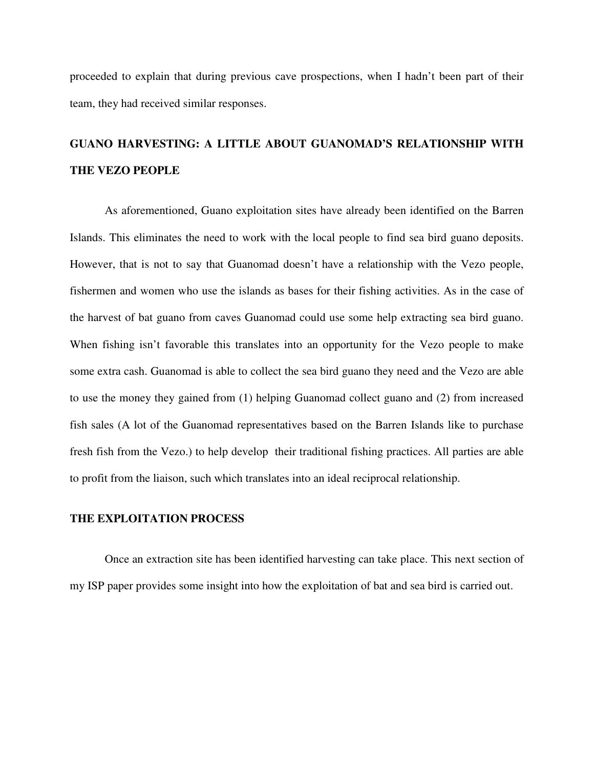proceeded to explain that during previous cave prospections, when I hadn't been part of their team, they had received similar responses.

## **GUANO HARVESTING: A LITTLE ABOUT GUANOMAD'S RELATIONSHIP WITH THE VEZO PEOPLE**

 As aforementioned, Guano exploitation sites have already been identified on the Barren Islands. This eliminates the need to work with the local people to find sea bird guano deposits. However, that is not to say that Guanomad doesn't have a relationship with the Vezo people, fishermen and women who use the islands as bases for their fishing activities. As in the case of the harvest of bat guano from caves Guanomad could use some help extracting sea bird guano. When fishing isn't favorable this translates into an opportunity for the Vezo people to make some extra cash. Guanomad is able to collect the sea bird guano they need and the Vezo are able to use the money they gained from (1) helping Guanomad collect guano and (2) from increased fish sales (A lot of the Guanomad representatives based on the Barren Islands like to purchase fresh fish from the Vezo.) to help develop their traditional fishing practices. All parties are able to profit from the liaison, such which translates into an ideal reciprocal relationship.

#### **THE EXPLOITATION PROCESS**

Once an extraction site has been identified harvesting can take place. This next section of my ISP paper provides some insight into how the exploitation of bat and sea bird is carried out.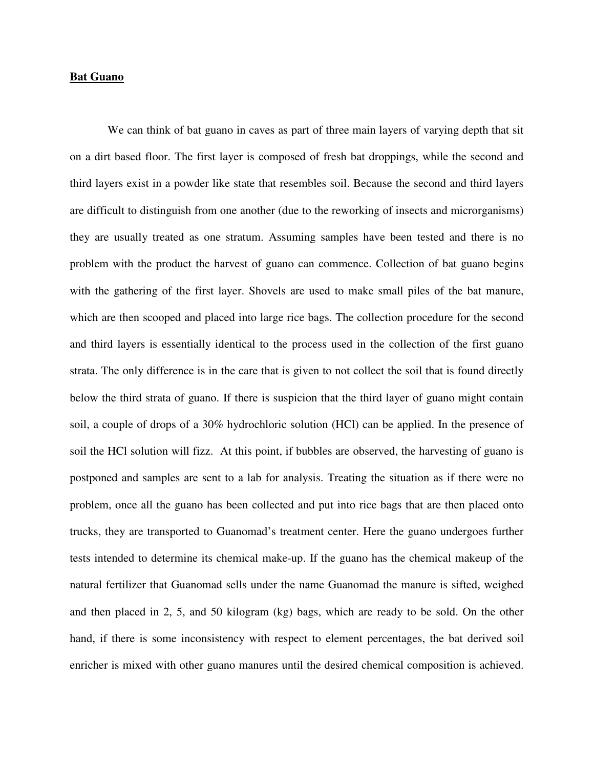#### **Bat Guano**

 We can think of bat guano in caves as part of three main layers of varying depth that sit on a dirt based floor. The first layer is composed of fresh bat droppings, while the second and third layers exist in a powder like state that resembles soil. Because the second and third layers are difficult to distinguish from one another (due to the reworking of insects and microrganisms) they are usually treated as one stratum. Assuming samples have been tested and there is no problem with the product the harvest of guano can commence. Collection of bat guano begins with the gathering of the first layer. Shovels are used to make small piles of the bat manure, which are then scooped and placed into large rice bags. The collection procedure for the second and third layers is essentially identical to the process used in the collection of the first guano strata. The only difference is in the care that is given to not collect the soil that is found directly below the third strata of guano. If there is suspicion that the third layer of guano might contain soil, a couple of drops of a 30% hydrochloric solution (HCl) can be applied. In the presence of soil the HCl solution will fizz. At this point, if bubbles are observed, the harvesting of guano is postponed and samples are sent to a lab for analysis. Treating the situation as if there were no problem, once all the guano has been collected and put into rice bags that are then placed onto trucks, they are transported to Guanomad's treatment center. Here the guano undergoes further tests intended to determine its chemical make-up. If the guano has the chemical makeup of the natural fertilizer that Guanomad sells under the name Guanomad the manure is sifted, weighed and then placed in 2, 5, and 50 kilogram (kg) bags, which are ready to be sold. On the other hand, if there is some inconsistency with respect to element percentages, the bat derived soil enricher is mixed with other guano manures until the desired chemical composition is achieved.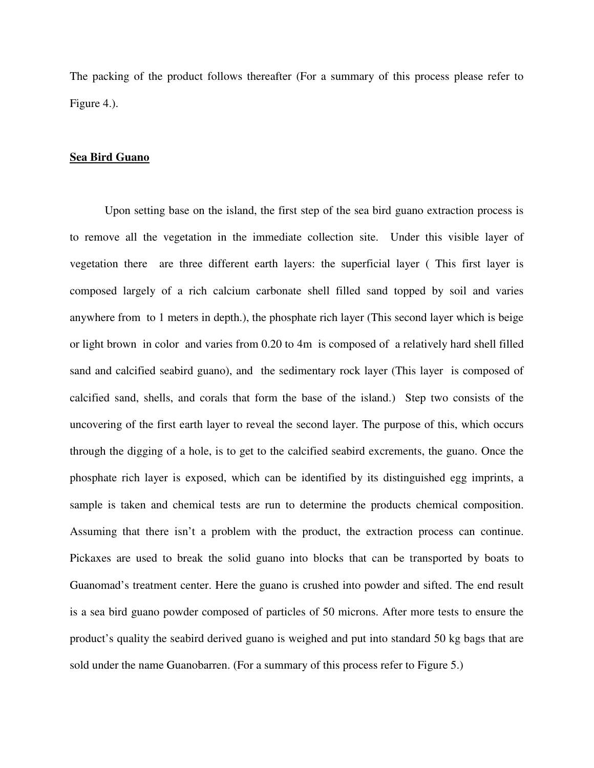The packing of the product follows thereafter (For a summary of this process please refer to Figure 4.).

#### **Sea Bird Guano**

Upon setting base on the island, the first step of the sea bird guano extraction process is to remove all the vegetation in the immediate collection site. Under this visible layer of vegetation there are three different earth layers: the superficial layer ( This first layer is composed largely of a rich calcium carbonate shell filled sand topped by soil and varies anywhere from to 1 meters in depth.), the phosphate rich layer (This second layer which is beige or light brown in color and varies from 0.20 to 4m is composed of a relatively hard shell filled sand and calcified seabird guano), and the sedimentary rock layer (This layer is composed of calcified sand, shells, and corals that form the base of the island.) Step two consists of the uncovering of the first earth layer to reveal the second layer. The purpose of this, which occurs through the digging of a hole, is to get to the calcified seabird excrements, the guano. Once the phosphate rich layer is exposed, which can be identified by its distinguished egg imprints, a sample is taken and chemical tests are run to determine the products chemical composition. Assuming that there isn't a problem with the product, the extraction process can continue. Pickaxes are used to break the solid guano into blocks that can be transported by boats to Guanomad's treatment center. Here the guano is crushed into powder and sifted. The end result is a sea bird guano powder composed of particles of 50 microns. After more tests to ensure the product's quality the seabird derived guano is weighed and put into standard 50 kg bags that are sold under the name Guanobarren. (For a summary of this process refer to Figure 5.)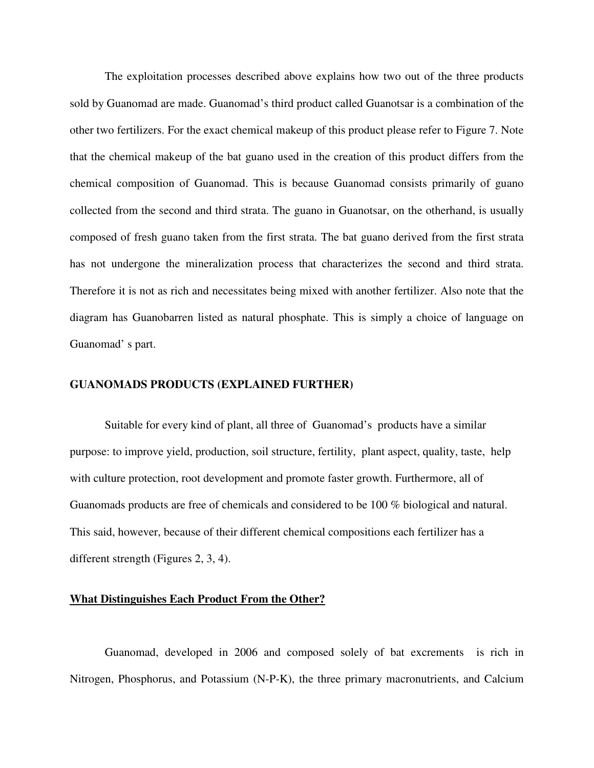The exploitation processes described above explains how two out of the three products sold by Guanomad are made. Guanomad's third product called Guanotsar is a combination of the other two fertilizers. For the exact chemical makeup of this product please refer to Figure 7. Note that the chemical makeup of the bat guano used in the creation of this product differs from the chemical composition of Guanomad. This is because Guanomad consists primarily of guano collected from the second and third strata. The guano in Guanotsar, on the otherhand, is usually composed of fresh guano taken from the first strata. The bat guano derived from the first strata has not undergone the mineralization process that characterizes the second and third strata. Therefore it is not as rich and necessitates being mixed with another fertilizer. Also note that the diagram has Guanobarren listed as natural phosphate. This is simply a choice of language on Guanomad' s part.

#### **GUANOMADS PRODUCTS (EXPLAINED FURTHER)**

Suitable for every kind of plant, all three of Guanomad's products have a similar purpose: to improve yield, production, soil structure, fertility, plant aspect, quality, taste, help with culture protection, root development and promote faster growth. Furthermore, all of Guanomads products are free of chemicals and considered to be 100 % biological and natural. This said, however, because of their different chemical compositions each fertilizer has a different strength (Figures 2, 3, 4).

#### **What Distinguishes Each Product From the Other?**

Guanomad, developed in 2006 and composed solely of bat excrements is rich in Nitrogen, Phosphorus, and Potassium (N-P-K), the three primary macronutrients, and Calcium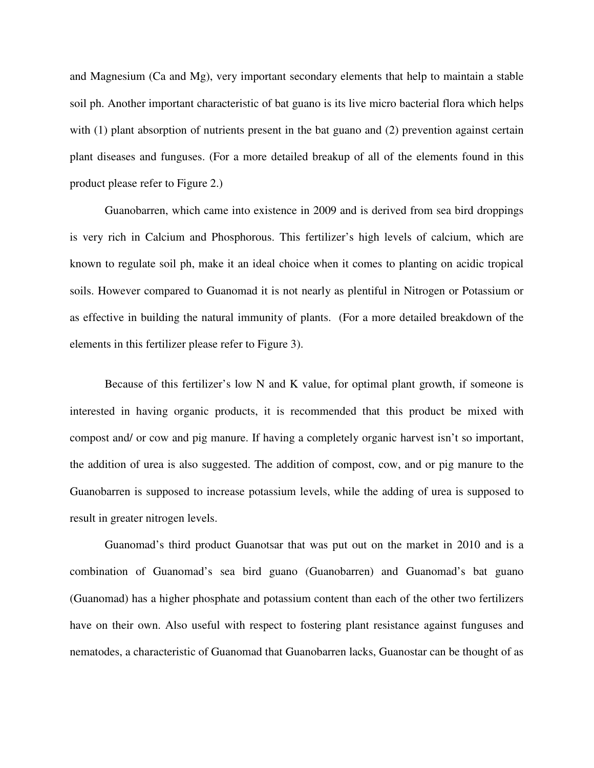and Magnesium (Ca and Mg), very important secondary elements that help to maintain a stable soil ph. Another important characteristic of bat guano is its live micro bacterial flora which helps with (1) plant absorption of nutrients present in the bat guano and (2) prevention against certain plant diseases and funguses. (For a more detailed breakup of all of the elements found in this product please refer to Figure 2.)

Guanobarren, which came into existence in 2009 and is derived from sea bird droppings is very rich in Calcium and Phosphorous. This fertilizer's high levels of calcium, which are known to regulate soil ph, make it an ideal choice when it comes to planting on acidic tropical soils. However compared to Guanomad it is not nearly as plentiful in Nitrogen or Potassium or as effective in building the natural immunity of plants. (For a more detailed breakdown of the elements in this fertilizer please refer to Figure 3).

Because of this fertilizer's low N and K value, for optimal plant growth, if someone is interested in having organic products, it is recommended that this product be mixed with compost and/ or cow and pig manure. If having a completely organic harvest isn't so important, the addition of urea is also suggested. The addition of compost, cow, and or pig manure to the Guanobarren is supposed to increase potassium levels, while the adding of urea is supposed to result in greater nitrogen levels.

Guanomad's third product Guanotsar that was put out on the market in 2010 and is a combination of Guanomad's sea bird guano (Guanobarren) and Guanomad's bat guano (Guanomad) has a higher phosphate and potassium content than each of the other two fertilizers have on their own. Also useful with respect to fostering plant resistance against funguses and nematodes, a characteristic of Guanomad that Guanobarren lacks, Guanostar can be thought of as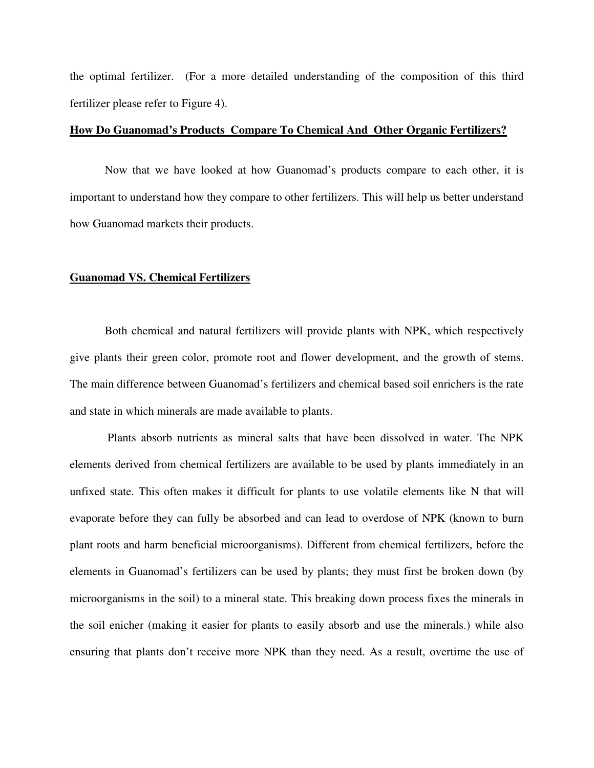the optimal fertilizer. (For a more detailed understanding of the composition of this third fertilizer please refer to Figure 4).

#### **How Do Guanomad's Products Compare To Chemical And Other Organic Fertilizers?**

Now that we have looked at how Guanomad's products compare to each other, it is important to understand how they compare to other fertilizers. This will help us better understand how Guanomad markets their products.

#### **Guanomad VS. Chemical Fertilizers**

 Both chemical and natural fertilizers will provide plants with NPK, which respectively give plants their green color, promote root and flower development, and the growth of stems. The main difference between Guanomad's fertilizers and chemical based soil enrichers is the rate and state in which minerals are made available to plants.

 Plants absorb nutrients as mineral salts that have been dissolved in water. The NPK elements derived from chemical fertilizers are available to be used by plants immediately in an unfixed state. This often makes it difficult for plants to use volatile elements like N that will evaporate before they can fully be absorbed and can lead to overdose of NPK (known to burn plant roots and harm beneficial microorganisms). Different from chemical fertilizers, before the elements in Guanomad's fertilizers can be used by plants; they must first be broken down (by microorganisms in the soil) to a mineral state. This breaking down process fixes the minerals in the soil enicher (making it easier for plants to easily absorb and use the minerals.) while also ensuring that plants don't receive more NPK than they need. As a result, overtime the use of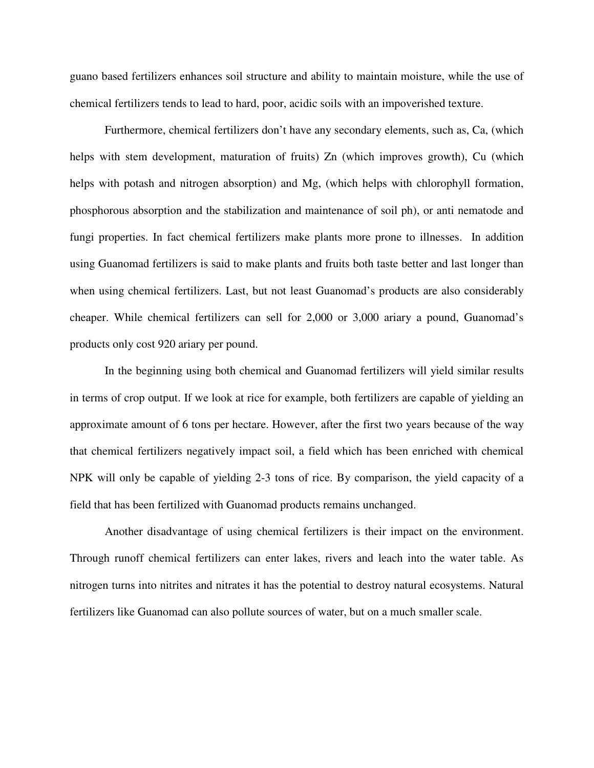guano based fertilizers enhances soil structure and ability to maintain moisture, while the use of chemical fertilizers tends to lead to hard, poor, acidic soils with an impoverished texture.

Furthermore, chemical fertilizers don't have any secondary elements, such as, Ca, (which helps with stem development, maturation of fruits) Zn (which improves growth), Cu (which helps with potash and nitrogen absorption) and Mg, (which helps with chlorophyll formation, phosphorous absorption and the stabilization and maintenance of soil ph), or anti nematode and fungi properties. In fact chemical fertilizers make plants more prone to illnesses. In addition using Guanomad fertilizers is said to make plants and fruits both taste better and last longer than when using chemical fertilizers. Last, but not least Guanomad's products are also considerably cheaper. While chemical fertilizers can sell for 2,000 or 3,000 ariary a pound, Guanomad's products only cost 920 ariary per pound.

In the beginning using both chemical and Guanomad fertilizers will yield similar results in terms of crop output. If we look at rice for example, both fertilizers are capable of yielding an approximate amount of 6 tons per hectare. However, after the first two years because of the way that chemical fertilizers negatively impact soil, a field which has been enriched with chemical NPK will only be capable of yielding 2-3 tons of rice. By comparison, the yield capacity of a field that has been fertilized with Guanomad products remains unchanged.

 Another disadvantage of using chemical fertilizers is their impact on the environment. Through runoff chemical fertilizers can enter lakes, rivers and leach into the water table. As nitrogen turns into nitrites and nitrates it has the potential to destroy natural ecosystems. Natural fertilizers like Guanomad can also pollute sources of water, but on a much smaller scale.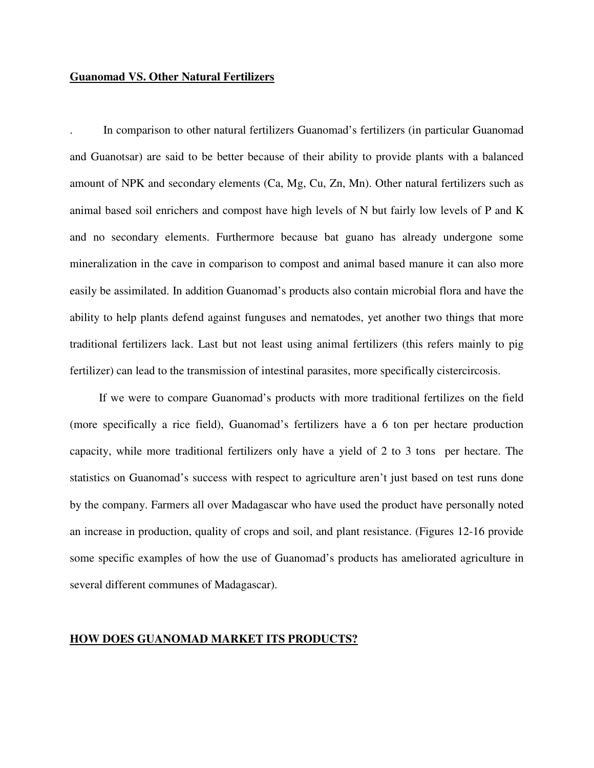#### **Guanomad VS. Other Natural Fertilizers**

. In comparison to other natural fertilizers Guanomad's fertilizers (in particular Guanomad and Guanotsar) are said to be better because of their ability to provide plants with a balanced amount of NPK and secondary elements (Ca, Mg, Cu, Zn, Mn). Other natural fertilizers such as animal based soil enrichers and compost have high levels of N but fairly low levels of P and K and no secondary elements. Furthermore because bat guano has already undergone some mineralization in the cave in comparison to compost and animal based manure it can also more easily be assimilated. In addition Guanomad's products also contain microbial flora and have the ability to help plants defend against funguses and nematodes, yet another two things that more traditional fertilizers lack. Last but not least using animal fertilizers (this refers mainly to pig fertilizer) can lead to the transmission of intestinal parasites, more specifically cistercircosis.

 If we were to compare Guanomad's products with more traditional fertilizes on the field (more specifically a rice field), Guanomad's fertilizers have a 6 ton per hectare production capacity, while more traditional fertilizers only have a yield of 2 to 3 tons per hectare. The statistics on Guanomad's success with respect to agriculture aren't just based on test runs done by the company. Farmers all over Madagascar who have used the product have personally noted an increase in production, quality of crops and soil, and plant resistance. (Figures 12-16 provide some specific examples of how the use of Guanomad's products has ameliorated agriculture in several different communes of Madagascar).

#### **HOW DOES GUANOMAD MARKET ITS PRODUCTS?**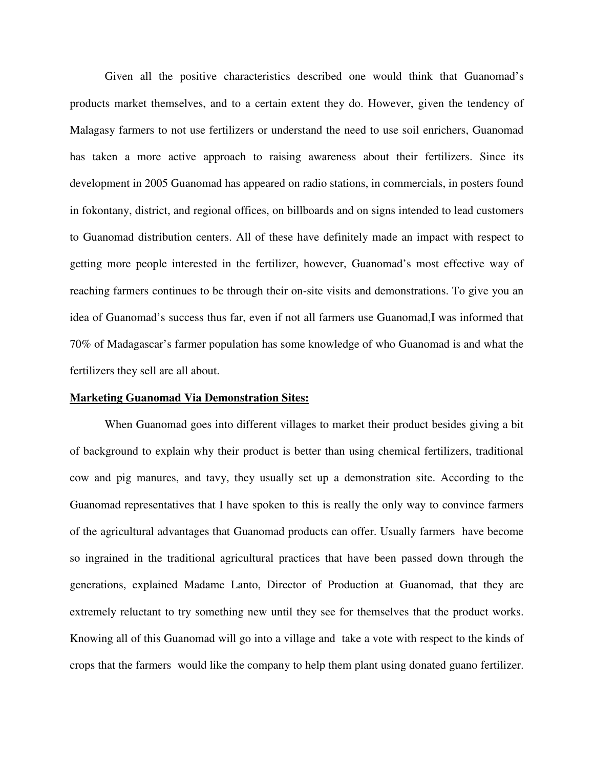Given all the positive characteristics described one would think that Guanomad's products market themselves, and to a certain extent they do. However, given the tendency of Malagasy farmers to not use fertilizers or understand the need to use soil enrichers, Guanomad has taken a more active approach to raising awareness about their fertilizers. Since its development in 2005 Guanomad has appeared on radio stations, in commercials, in posters found in fokontany, district, and regional offices, on billboards and on signs intended to lead customers to Guanomad distribution centers. All of these have definitely made an impact with respect to getting more people interested in the fertilizer, however, Guanomad's most effective way of reaching farmers continues to be through their on-site visits and demonstrations. To give you an idea of Guanomad's success thus far, even if not all farmers use Guanomad,I was informed that 70% of Madagascar's farmer population has some knowledge of who Guanomad is and what the fertilizers they sell are all about.

#### **Marketing Guanomad Via Demonstration Sites:**

When Guanomad goes into different villages to market their product besides giving a bit of background to explain why their product is better than using chemical fertilizers, traditional cow and pig manures, and tavy, they usually set up a demonstration site. According to the Guanomad representatives that I have spoken to this is really the only way to convince farmers of the agricultural advantages that Guanomad products can offer. Usually farmers have become so ingrained in the traditional agricultural practices that have been passed down through the generations, explained Madame Lanto, Director of Production at Guanomad, that they are extremely reluctant to try something new until they see for themselves that the product works. Knowing all of this Guanomad will go into a village and take a vote with respect to the kinds of crops that the farmers would like the company to help them plant using donated guano fertilizer.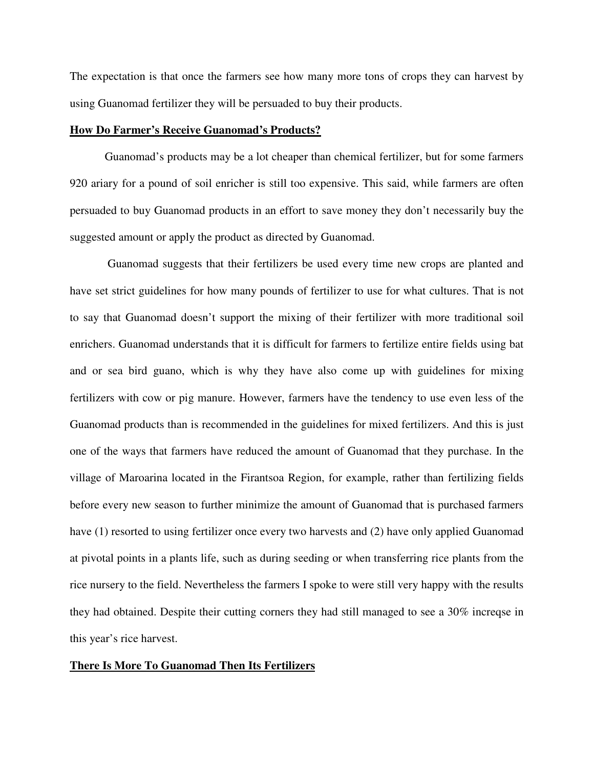The expectation is that once the farmers see how many more tons of crops they can harvest by using Guanomad fertilizer they will be persuaded to buy their products.

#### **How Do Farmer's Receive Guanomad's Products?**

 Guanomad's products may be a lot cheaper than chemical fertilizer, but for some farmers 920 ariary for a pound of soil enricher is still too expensive. This said, while farmers are often persuaded to buy Guanomad products in an effort to save money they don't necessarily buy the suggested amount or apply the product as directed by Guanomad.

 Guanomad suggests that their fertilizers be used every time new crops are planted and have set strict guidelines for how many pounds of fertilizer to use for what cultures. That is not to say that Guanomad doesn't support the mixing of their fertilizer with more traditional soil enrichers. Guanomad understands that it is difficult for farmers to fertilize entire fields using bat and or sea bird guano, which is why they have also come up with guidelines for mixing fertilizers with cow or pig manure. However, farmers have the tendency to use even less of the Guanomad products than is recommended in the guidelines for mixed fertilizers. And this is just one of the ways that farmers have reduced the amount of Guanomad that they purchase. In the village of Maroarina located in the Firantsoa Region, for example, rather than fertilizing fields before every new season to further minimize the amount of Guanomad that is purchased farmers have (1) resorted to using fertilizer once every two harvests and (2) have only applied Guanomad at pivotal points in a plants life, such as during seeding or when transferring rice plants from the rice nursery to the field. Nevertheless the farmers I spoke to were still very happy with the results they had obtained. Despite their cutting corners they had still managed to see a 30% increqse in this year's rice harvest.

#### **There Is More To Guanomad Then Its Fertilizers**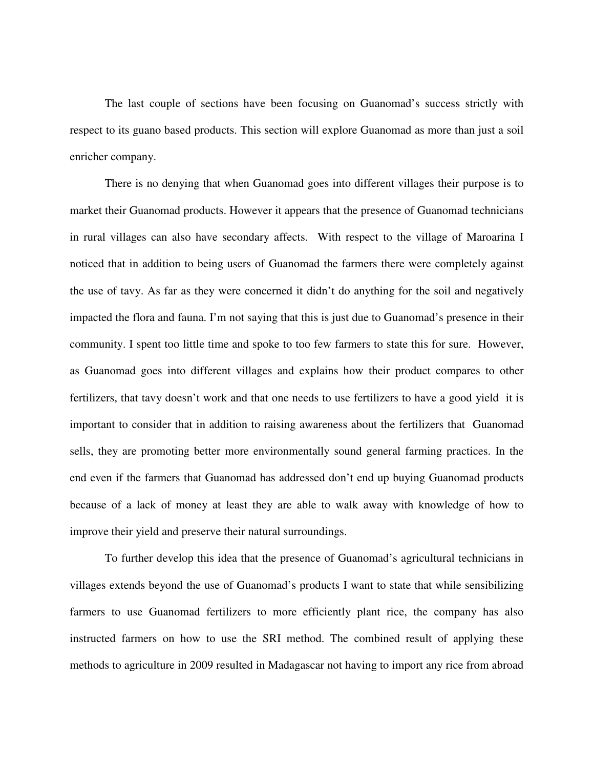The last couple of sections have been focusing on Guanomad's success strictly with respect to its guano based products. This section will explore Guanomad as more than just a soil enricher company.

 There is no denying that when Guanomad goes into different villages their purpose is to market their Guanomad products. However it appears that the presence of Guanomad technicians in rural villages can also have secondary affects. With respect to the village of Maroarina I noticed that in addition to being users of Guanomad the farmers there were completely against the use of tavy. As far as they were concerned it didn't do anything for the soil and negatively impacted the flora and fauna. I'm not saying that this is just due to Guanomad's presence in their community. I spent too little time and spoke to too few farmers to state this for sure. However, as Guanomad goes into different villages and explains how their product compares to other fertilizers, that tavy doesn't work and that one needs to use fertilizers to have a good yield it is important to consider that in addition to raising awareness about the fertilizers that Guanomad sells, they are promoting better more environmentally sound general farming practices. In the end even if the farmers that Guanomad has addressed don't end up buying Guanomad products because of a lack of money at least they are able to walk away with knowledge of how to improve their yield and preserve their natural surroundings.

 To further develop this idea that the presence of Guanomad's agricultural technicians in villages extends beyond the use of Guanomad's products I want to state that while sensibilizing farmers to use Guanomad fertilizers to more efficiently plant rice, the company has also instructed farmers on how to use the SRI method. The combined result of applying these methods to agriculture in 2009 resulted in Madagascar not having to import any rice from abroad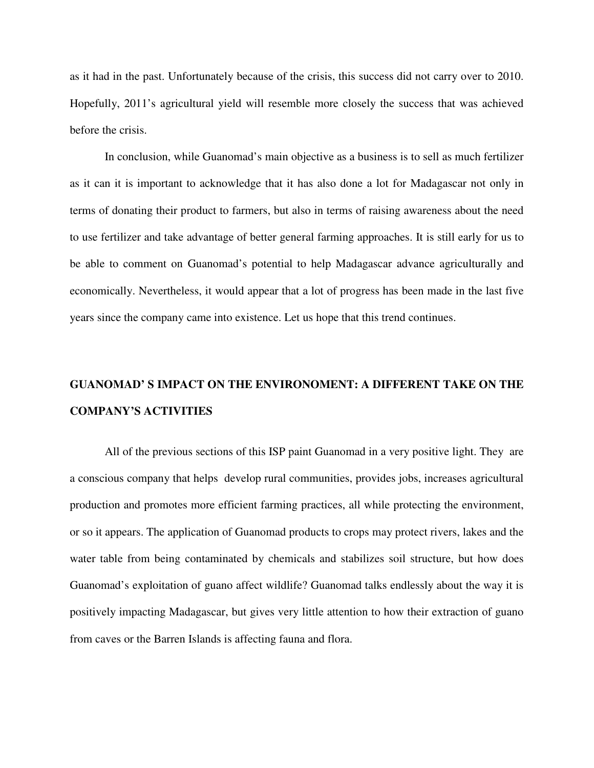as it had in the past. Unfortunately because of the crisis, this success did not carry over to 2010. Hopefully, 2011's agricultural yield will resemble more closely the success that was achieved before the crisis.

 In conclusion, while Guanomad's main objective as a business is to sell as much fertilizer as it can it is important to acknowledge that it has also done a lot for Madagascar not only in terms of donating their product to farmers, but also in terms of raising awareness about the need to use fertilizer and take advantage of better general farming approaches. It is still early for us to be able to comment on Guanomad's potential to help Madagascar advance agriculturally and economically. Nevertheless, it would appear that a lot of progress has been made in the last five years since the company came into existence. Let us hope that this trend continues.

# **GUANOMAD' S IMPACT ON THE ENVIRONOMENT: A DIFFERENT TAKE ON THE COMPANY'S ACTIVITIES**

All of the previous sections of this ISP paint Guanomad in a very positive light. They are a conscious company that helps develop rural communities, provides jobs, increases agricultural production and promotes more efficient farming practices, all while protecting the environment, or so it appears. The application of Guanomad products to crops may protect rivers, lakes and the water table from being contaminated by chemicals and stabilizes soil structure, but how does Guanomad's exploitation of guano affect wildlife? Guanomad talks endlessly about the way it is positively impacting Madagascar, but gives very little attention to how their extraction of guano from caves or the Barren Islands is affecting fauna and flora.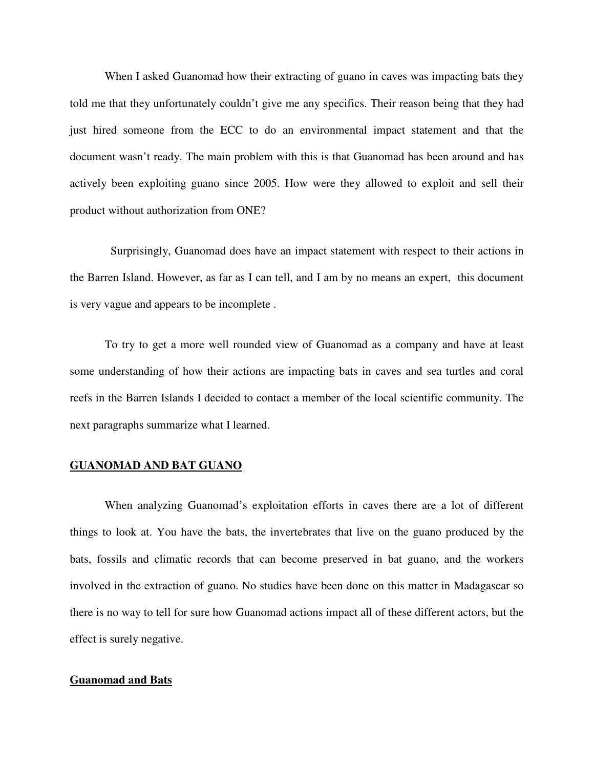When I asked Guanomad how their extracting of guano in caves was impacting bats they told me that they unfortunately couldn't give me any specifics. Their reason being that they had just hired someone from the ECC to do an environmental impact statement and that the document wasn't ready. The main problem with this is that Guanomad has been around and has actively been exploiting guano since 2005. How were they allowed to exploit and sell their product without authorization from ONE?

 Surprisingly, Guanomad does have an impact statement with respect to their actions in the Barren Island. However, as far as I can tell, and I am by no means an expert, this document is very vague and appears to be incomplete .

To try to get a more well rounded view of Guanomad as a company and have at least some understanding of how their actions are impacting bats in caves and sea turtles and coral reefs in the Barren Islands I decided to contact a member of the local scientific community. The next paragraphs summarize what I learned.

#### **GUANOMAD AND BAT GUANO**

When analyzing Guanomad's exploitation efforts in caves there are a lot of different things to look at. You have the bats, the invertebrates that live on the guano produced by the bats, fossils and climatic records that can become preserved in bat guano, and the workers involved in the extraction of guano. No studies have been done on this matter in Madagascar so there is no way to tell for sure how Guanomad actions impact all of these different actors, but the effect is surely negative.

#### **Guanomad and Bats**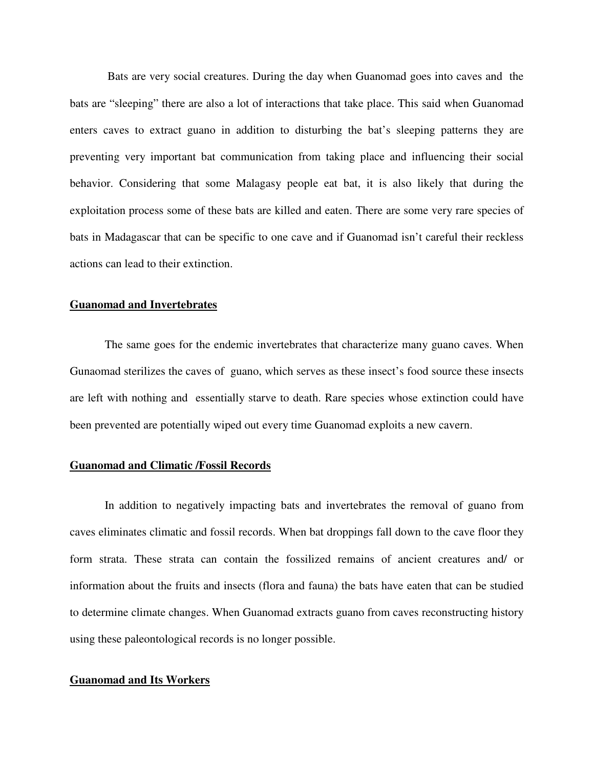Bats are very social creatures. During the day when Guanomad goes into caves and the bats are "sleeping" there are also a lot of interactions that take place. This said when Guanomad enters caves to extract guano in addition to disturbing the bat's sleeping patterns they are preventing very important bat communication from taking place and influencing their social behavior. Considering that some Malagasy people eat bat, it is also likely that during the exploitation process some of these bats are killed and eaten. There are some very rare species of bats in Madagascar that can be specific to one cave and if Guanomad isn't careful their reckless actions can lead to their extinction.

#### **Guanomad and Invertebrates**

The same goes for the endemic invertebrates that characterize many guano caves. When Gunaomad sterilizes the caves of guano, which serves as these insect's food source these insects are left with nothing and essentially starve to death. Rare species whose extinction could have been prevented are potentially wiped out every time Guanomad exploits a new cavern.

#### **Guanomad and Climatic /Fossil Records**

 In addition to negatively impacting bats and invertebrates the removal of guano from caves eliminates climatic and fossil records. When bat droppings fall down to the cave floor they form strata. These strata can contain the fossilized remains of ancient creatures and/ or information about the fruits and insects (flora and fauna) the bats have eaten that can be studied to determine climate changes. When Guanomad extracts guano from caves reconstructing history using these paleontological records is no longer possible.

#### **Guanomad and Its Workers**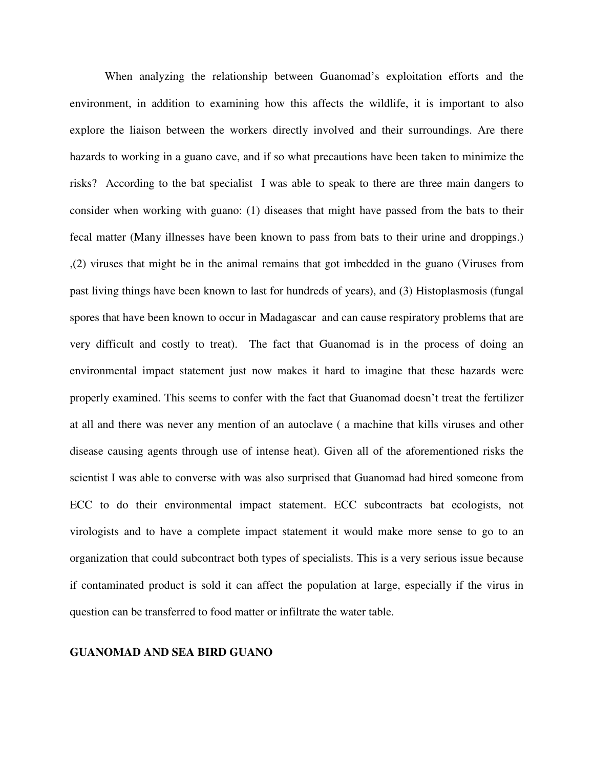When analyzing the relationship between Guanomad's exploitation efforts and the environment, in addition to examining how this affects the wildlife, it is important to also explore the liaison between the workers directly involved and their surroundings. Are there hazards to working in a guano cave, and if so what precautions have been taken to minimize the risks? According to the bat specialist I was able to speak to there are three main dangers to consider when working with guano: (1) diseases that might have passed from the bats to their fecal matter (Many illnesses have been known to pass from bats to their urine and droppings.) ,(2) viruses that might be in the animal remains that got imbedded in the guano (Viruses from past living things have been known to last for hundreds of years), and (3) Histoplasmosis (fungal spores that have been known to occur in Madagascar and can cause respiratory problems that are very difficult and costly to treat). The fact that Guanomad is in the process of doing an environmental impact statement just now makes it hard to imagine that these hazards were properly examined. This seems to confer with the fact that Guanomad doesn't treat the fertilizer at all and there was never any mention of an autoclave ( a machine that kills viruses and other disease causing agents through use of intense heat). Given all of the aforementioned risks the scientist I was able to converse with was also surprised that Guanomad had hired someone from ECC to do their environmental impact statement. ECC subcontracts bat ecologists, not virologists and to have a complete impact statement it would make more sense to go to an organization that could subcontract both types of specialists. This is a very serious issue because if contaminated product is sold it can affect the population at large, especially if the virus in question can be transferred to food matter or infiltrate the water table.

#### **GUANOMAD AND SEA BIRD GUANO**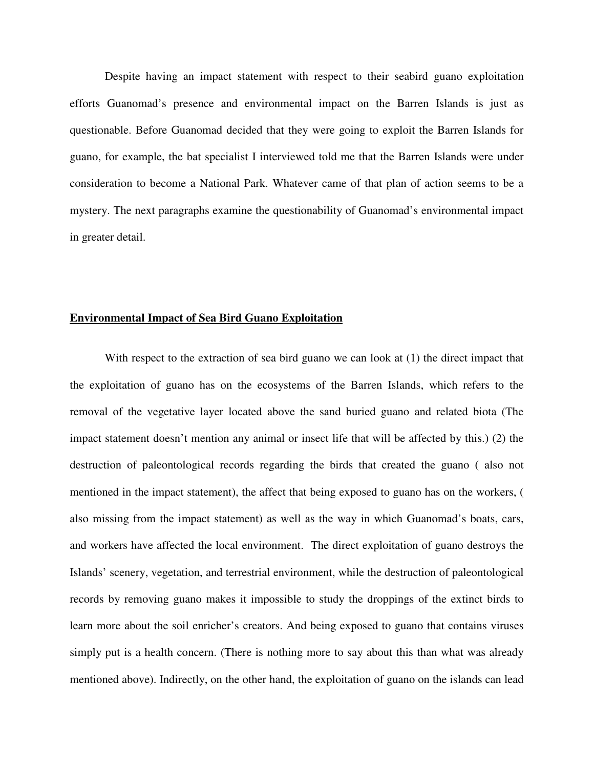Despite having an impact statement with respect to their seabird guano exploitation efforts Guanomad's presence and environmental impact on the Barren Islands is just as questionable. Before Guanomad decided that they were going to exploit the Barren Islands for guano, for example, the bat specialist I interviewed told me that the Barren Islands were under consideration to become a National Park. Whatever came of that plan of action seems to be a mystery. The next paragraphs examine the questionability of Guanomad's environmental impact in greater detail.

#### **Environmental Impact of Sea Bird Guano Exploitation**

With respect to the extraction of sea bird guano we can look at (1) the direct impact that the exploitation of guano has on the ecosystems of the Barren Islands, which refers to the removal of the vegetative layer located above the sand buried guano and related biota (The impact statement doesn't mention any animal or insect life that will be affected by this.) (2) the destruction of paleontological records regarding the birds that created the guano ( also not mentioned in the impact statement), the affect that being exposed to guano has on the workers, ( also missing from the impact statement) as well as the way in which Guanomad's boats, cars, and workers have affected the local environment. The direct exploitation of guano destroys the Islands' scenery, vegetation, and terrestrial environment, while the destruction of paleontological records by removing guano makes it impossible to study the droppings of the extinct birds to learn more about the soil enricher's creators. And being exposed to guano that contains viruses simply put is a health concern. (There is nothing more to say about this than what was already mentioned above). Indirectly, on the other hand, the exploitation of guano on the islands can lead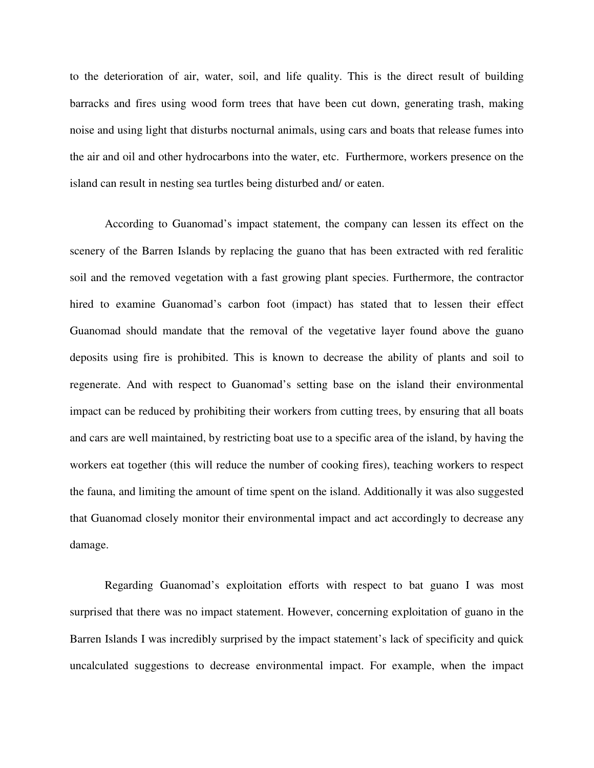to the deterioration of air, water, soil, and life quality. This is the direct result of building barracks and fires using wood form trees that have been cut down, generating trash, making noise and using light that disturbs nocturnal animals, using cars and boats that release fumes into the air and oil and other hydrocarbons into the water, etc. Furthermore, workers presence on the island can result in nesting sea turtles being disturbed and/ or eaten.

According to Guanomad's impact statement, the company can lessen its effect on the scenery of the Barren Islands by replacing the guano that has been extracted with red feralitic soil and the removed vegetation with a fast growing plant species. Furthermore, the contractor hired to examine Guanomad's carbon foot (impact) has stated that to lessen their effect Guanomad should mandate that the removal of the vegetative layer found above the guano deposits using fire is prohibited. This is known to decrease the ability of plants and soil to regenerate. And with respect to Guanomad's setting base on the island their environmental impact can be reduced by prohibiting their workers from cutting trees, by ensuring that all boats and cars are well maintained, by restricting boat use to a specific area of the island, by having the workers eat together (this will reduce the number of cooking fires), teaching workers to respect the fauna, and limiting the amount of time spent on the island. Additionally it was also suggested that Guanomad closely monitor their environmental impact and act accordingly to decrease any damage.

Regarding Guanomad's exploitation efforts with respect to bat guano I was most surprised that there was no impact statement. However, concerning exploitation of guano in the Barren Islands I was incredibly surprised by the impact statement's lack of specificity and quick uncalculated suggestions to decrease environmental impact. For example, when the impact